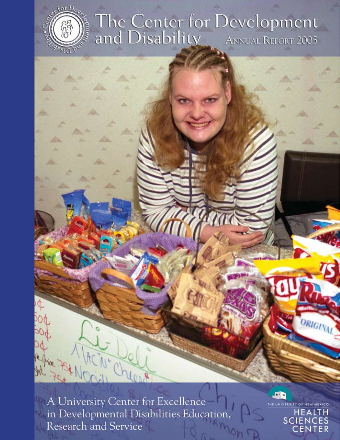

The Center for Development<br>and Disability ANNUAL REPORT 2005

A University Center for Excellence in Developmental Disabilities Education Research and Service

Jaco



THE UNIVERSITY OF NEW HEALTH **SCIENCES** CENTER

RIGINAL.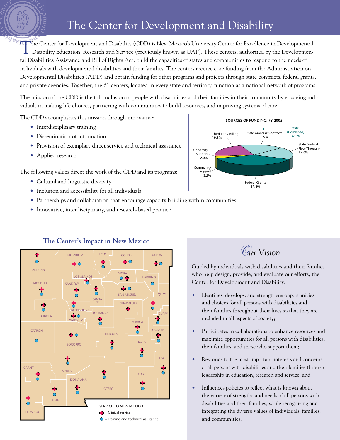# The Center for Development and Disability

**PEST The Center for Development and Disability (CDD) is New Mexico's University Center for Excellence in Developmental** Disability Education, Research and Service (previously known as UAP). These centers, authorized by the Developmental Disabilities Assistance and Bill of Rights Act, build the capacities of states and communities to respond to the needs of individuals with developmental disabilities and their families. The centers receive core funding from the Administration on Developmental Disabilities (ADD) and obtain funding for other programs and projects through state contracts, federal grants, and private agencies. Together, the 61 centers, located in every state and territory, function as a national network of programs.

The mission of the CDD is the full inclusion of people with disabilities and their families in their community by engaging individuals in making life choices, partnering with communities to build resources, and improving systems of care.

The CDD accomplishes this mission through innovative:

- Interdisciplinary training
- Dissemination of information
- Provision of exemplary direct service and technical assistance
- Applied research

The following values direct the work of the CDD and its programs:

- Cultural and linguistic diversity
- Inclusion and accessibility for all individuals
- Partnerships and collaboration that encourage capacity building within communities
- Innovative, interdisciplinary, and research-based practice



# **The Center's Impact in New Mexico**





Guided by individuals with disabilities and their families who help design, provide, and evaluate our efforts, the Center for Development and Disability:

- Identifies, develops, and strengthens opportunities and choices for all persons with disabilities and their families throughout their lives so that they are included in all aspects of society;
- Participates in collaborations to enhance resources and maximize opportunities for all persons with disabilities, their families, and those who support them;
- Responds to the most important interests and concerns of all persons with disabilities and their families through leadership in education, research and service; and
- Influences policies to reflect what is known about the variety of strengths and needs of all persons with disabilities and their families, while recognizing and integrating the diverse values of individuals, families, and communities.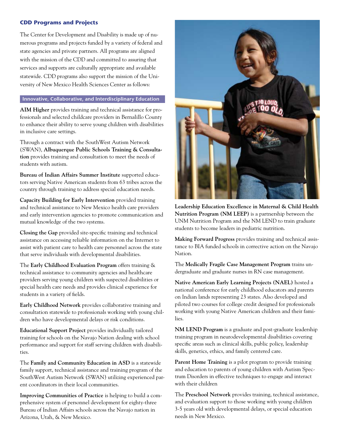## **CDD Programs and Projects**

The Center for Development and Disability is made up of numerous programs and projects funded by a variety of federal and state agencies and private partners. All programs are aligned with the mission of the CDD and committed to assuring that services and supports are culturally appropriate and available statewide. CDD programs also support the mission of the University of New Mexico Health Sciences Center as follows:

## **Innovative, Collaborative, and Interdisciplinary Education**

**AIM Higher** provides training and technical assistance for professionals and selected childcare providers in Bernalillo County to enhance their ability to serve young children with disabilities in inclusive care settings.

Through a contract with the SouthWest Autism Network (SWAN), **Albuquerque Public Schools Training & Consultation** provides training and consultation to meet the needs of students with autism.

**Bureau of Indian Affairs Summer Institute** supported educators serving Native American students from 63 tribes across the country through training to address special education needs.

**Capacity Building for Early Intervention** provided training and technical assistance to New Mexico health care providers and early intervention agencies to promote communication and mutual knowledge of the two systems.

**Closing the Gap** provided site-specific training and technical assistance on accessing reliable information on the Internet to assist with patient care to health care personnel across the state that serve individuals with developmental disabilities.

The **Early Childhood Evaluation Program** offers training & technical assistance to community agencies and healthcare providers serving young children with suspected disabilities or special health care needs and provides clinical experience for students in a variety of fields.

**Early Childhood Network** provides collaborative training and consultation statewide to professionals working with young children who have developmental delays or risk conditions.

**Educational Support Project** provides individually tailored training for schools on the Navajo Nation dealing with school performance and support for staff serving children with disabilities.

The **Family and Community Education in ASD** is a statewide family support, technical assistance and training program of the SouthWest Autism Network (SWAN) utilizing experienced parent coordinators in their local communities.

**Improving Communities of Practice** is helping to build a comprehensive system of personnel development for eighty-three Bureau of Indian Affairs schools across the Navajo nation in Arizona, Utah, & New Mexico.



**Leadership Education Excellence in Maternal & Child Health Nutrition Program (NM LEEP)** is a partnership between the UNM Nutrition Program and the NM LEND to train graduate students to become leaders in pediatric nutrition.

**Making Forward Progress** provides training and technical assistance to BIA funded schools in corrective action on the Navajo Nation.

The **Medically Fragile Case Management Program** trains undergraduate and graduate nurses in RN case management.

**Native American Early Learning Projects (NAEL)** hosted a national conference for early childhood educators and parents on Indian lands representing 23 states. Also developed and piloted two courses for college credit designed for professionals working with young Native American children and their families.

**NM LEND Program** is a graduate and post-graduate leadership training program in neurodevelopmental disabilities covering specific areas such as clinical skills, public policy, leadership skills, genetics, ethics, and family centered care.

**Parent Home Training** is a pilot program to provide training and education to parents of young children with Autism Spectrum Disorders in effective techniques to engage and interact with their children

The **Preschool Network** provides training, technical assistance, and evaluation support to those working with young children 3-5 years old with developmental delays, or special education needs in New Mexico.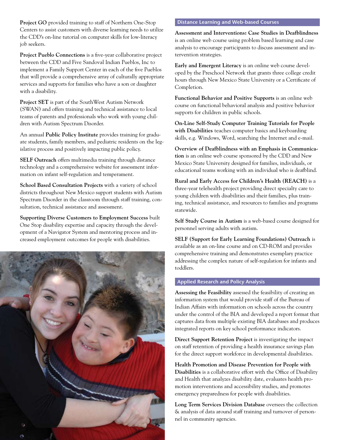**Project GO** provided training to staff of Northern One-Stop Centers to assist customers with diverse learning needs to utilize the CDD's on-line tutorial on computer skills for low-literacy job seekers.

**Project Pueblo Connections** is a five-year collaborative project between the CDD and Five Sandoval Indian Pueblos, Inc to implement a Family Support Center in each of the five Pueblos that will provide a comprehensive array of culturally appropriate services and supports for families who have a son or daughter with a disability.

**Project SET** is part of the SouthWest Autism Network (SWAN) and offers training and technical assistance to local teams of parents and professionals who work with young children with Autism Spectrum Disorder.

An annual **Public Policy Institute** provides training for graduate students, family members, and pediatric residents on the legislative process and positively impacting public policy.

**SELF Outreach** offers multimedia training through distance technology and a comprehensive website for assessment information on infant self-regulation and temperament.

**School Based Consultation Projects** with a variety of school districts throughout New Mexico support students with Autism Spectrum Disorder in the classroom through staff training, consultation, technical assistance and assessment.

**Supporting Diverse Customers to Employment Success** built One Stop disability expertise and capacity through the development of a Navigator System and mentoring process and increased employment outcomes for people with disabilities.



#### **Distance Learning and Web-based Courses**

**Assessment and Interventions: Case Studies in Deafblindness** is an online web course using problem based learning and case analysis to encourage participants to discuss assessment and intervention strategies.

**Early and Emergent Literacy** is an online web course developed by the Preschool Network that grants three college credit hours through New Mexico State University or a Certificate of Completion.

**Functional Behavior and Positive Supports** is an online web course on functional behavioral analysis and positive behavior supports for children in public schools.

**On-Line Self-Study Computer Training Tutorials for People with Disabilities** teaches computer basics and keyboarding skills, e.g. Windows, Word, searching the Internet and e-mail.

**Overview of Deafblindness with an Emphasis in Communication** is an online web course sponsored by the CDD and New Mexico State University designed for families, individuals, or educational teams working with an individual who is deafblind.

**Rural and Early Access for Children's Health (REACH)** is a three-year telehealth project providing direct specialty care to young children with disabilities and their families, plus training, technical assistance, and resources to families and programs statewide.

**Self Study Course in Autism** is a web-based course designed for personnel serving adults with autism.

**SELF (Support for Early Learning Foundations) Outreach** is available as an on-line course and on CD-ROM and provides comprehensive training and demonstrates exemplary practice addressing the complex nature of self-regulation for infants and toddlers.

## **Applied Research and Policy Analysis**

**Assessing the Feasibility** assessed the feasibility of creating an information system that would provide staff of the Bureau of Indian Affairs with information on schools across the country under the control of the BIA and developed a report format that captures data from multiple existing BIA databases and produces integrated reports on key school performance indicators.

**Direct Support Retention Project** is investigating the impact on staff retention of providing a health insurance savings plan for the direct support workforce in developmental disabilities.

**Health Promotion and Disease Prevention for People with Disabilities** is a collaborative effort with the Office of Disability and Health that analyzes disability date, evaluates health promotion interventions and accessibility studies, and promotes emergency preparedness for people with disabilities.

**Long Term Services Division Database** oversees the collection & analysis of data around staff training and turnover of personnel in community agencies.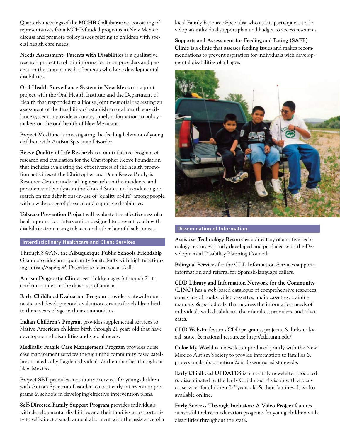Quarterly meetings of the **MCHB Collaborative**, consisting of representatives from MCHB funded programs in New Mexico, discuss and promote policy issues relating to children with special health care needs.

**Needs Assessment: Parents with Disabilities** is a qualitative research project to obtain information from providers and parents on the support needs of parents who have developmental disabilities.

**Oral Health Surveillance System in New Mexico** is a joint project with the Oral Health Institute and the Department of Health that responded to a House Joint memorial requesting an assessment of the feasibility of establish an oral health surveillance system to provide accurate, timely information to policymakers on the oral health of New Mexicans.

**Project Mealtime** is investigating the feeding behavior of young children with Autism Spectrum Disorder.

**Reeve Quality of Life Research** is a multi-faceted program of research and evaluation for the Christopher Reeve Foundation that includes evaluating the effectiveness of the health promotion activities of the Christopher and Dana Reeve Paralysis Resource Center; undertaking research on the incidence and prevalence of paralysis in the United States, and conducting research on the definitions-in-use of "quality of-life" among people with a wide range of physical and cognitive disabilities.

**Tobacco Prevention Project** will evaluate the effectiveness of a health promotion intervention designed to prevent youth with disabilities from using tobacco and other harmful substances.

#### **Interdisciplinary Healthcare and Client Services**

Through SWAN, the **Albuquerque Public Schools Friendship Group** provides an opportunity for students with high functioning autism/Asperger's Disorder to learn social skills.

**Autism Diagnostic Clinic** sees children ages 3 through 21 to confirm or rule out the diagnosis of autism.

**Early Childhood Evaluation Program** provides statewide diagnostic and developmental evaluation services for children birth to three years of age in their communities.

**Indian Children's Program** provides supplemental services to Native American children birth through 21 years old that have developmental disabilities and special needs.

**Medically Fragile Case Management Program** provides nurse case management services through nine community based satellites to medically fragile individuals & their families throughout New Mexico.

**Project SET** provides consultative services for young children with Autism Spectrum Disorder to assist early intervention programs & schools in developing effective intervention plans.

**Self-Directed Family Support Program** provides individuals with developmental disabilities and their families an opportunity to self-direct a small annual allotment with the assistance of a local Family Resource Specialist who assists participants to develop an individual support plan and budget to access resources.

**Supports and Assessment for Feeding and Eating (SAFE) Clinic** is a clinic that assesses feeding issues and makes recommendations to prevent aspiration for individuals with developmental disabilities of all ages.



#### **Dissemination of Information**

**Assistive Technology Resources** a directory of assistive technology resources jointly developed and produced with the Developmental Disability Planning Council.

**Bilingual Services** for the CDD Information Services supports information and referral for Spanish-language callers.

**CDD Library and Information Network for the Community (LINC)** has a web-based catalogue of comprehensive resources, consisting of books, video cassettes, audio cassettes, training manuals, & periodicals, that address the information needs of individuals with disabilities, their families, providers, and advocates.

**CDD Website** features CDD programs, projects, & links to local, state, & national resources: http://cdd.unm.edu/.

**Color My World** is a newsletter produced jointly with the New Mexico Autism Society to provide information to families & professionals about autism & is disseminated statewide.

**Early Childhood UPDATES** is a monthly newsletter produced & disseminated by the Early Childhood Division with a focus on services for children 0-3 years old & their families. It is also available online.

**Early Success Through Inclusion: A Video Project** features successful inclusion education programs for young children with disabilities throughout the state.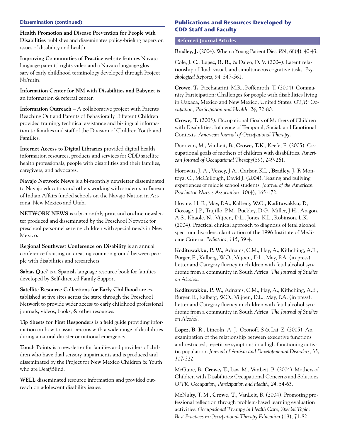#### **Dissemination (continued)**

**Health Promotion and Disease Prevention for People with Disabilities** publishes and disseminates policy-briefing papers on issues of disability and health.

**Improving Communities of Practice** website features Navajo language parents' rights video and a Navajo language glossary of early childhood terminology developed through Project Na'nitin.

**Information Center for NM with Disabilities and Babynet** is an information & referral center.

**Information Outreach** – A collaborative project with Parents Reaching Out and Parents of Behaviorally Different Children provided training, technical assistance and bi-lingual information to families and staff of the Division of Children Youth and Families.

**Internet Access to Digital Libraries** provided digital health information resources, products and services for CDD satellite health professionals, people with disabilities and their families, caregivers, and advocates.

**Navajo Network News** is a bi-monthly newsletter disseminated to Navajo educators and others working with students in Bureau of Indian Affairs funded schools on the Navajo Nation in Arizona, New Mexico and Utah.

**NETWORK NEWS** is a bi-monthly print and on-line newsletter produced and disseminated by the Preschool Network for preschool personnel serving children with special needs in New Mexico.

**Regional Southwest Conference on Disability** is an annual conference focusing on creating common ground between people with disabilities and researchers.

**Sabias Que?** is a Spanish language resource book for families developed by Self-directed Family Support.

**Satellite Resource Collections for Early Childhood** are established at five sites across the state through the Preschool Network to provide wider access to early childhood professional journals, videos, books, & other resources.

**Tip Sheets for First Responders** is a field guide providing information on how to assist persons with a wide range of disabilities during a natural disaster or national emergency

**Touch Points** is a newsletter for families and providers of children who have dual sensory impairments and is produced and disseminated by the Project for New Mexico Children & Youth who are Deaf/Blind.

**WELL** disseminated resource information and provided outreach on adolescent disability issues.

## **Publications and Resources Developed by CDD Staff and Faculty**

#### **Refereed Journal Articles**

**Bradley, J.** (2004). When a Young Patient Dies. *RN, 68*(4), 40-43.

Cole, J. C., **Lopez, B. R**., & Daleo, D. V. (2004). Latent relationship of fluid, visual, and simultaneous cognitive tasks. *Psychological Reports*, 94, 547-561.

**Crowe, T.**, Picchaiarini, M.R., Poffenroth, T. (2004). Community Participation: Challenges for people with disabilities living in Oaxaca, Mexico and New Mexico, United States. *OTJR: Occupation, Participation and Health, 24*, 72-80.

**Crowe, T.** (2005). Occupational Goals of Mothers of Children with Disabilities: Influence of Temporal, Social, and Emotional Contexts. *American Journal of Occupational Therapy*.

Donovan, M., VanLeit, B., **Crowe, T.K**., Keefe, E. (2005). Occupational goals of mothers of children with disabilities. *American Journal of Occupational Therapy*(59), 249-261.

Horowitz, J. A., Vessey, J.A., Carlson K.L., **Bradley, J. F.** Montoya, C., McCullough, David J. (2004). Teasing and bullying experiences of middle school students. *Journal of the American Psychiatric Nurses Association, 10*(4), 165-172.

Hoyme, H. E., May, P.A., Kalberg, W.O., **Kodituwakku, P.**, Gossage, J.P., Trujillo, P.M., Buckley, D.G., Miller, J.H., Aragon, A.S., Khaole, N., Viljoen, D.L., Jones, K.L., Robinson, L.K. (2004). Practical clinical approach to diagnosis of fetal alcohol spectrum disorders: clarification of the 1996 Institute of Medicine Criteria. *Pediatrics, 115*, 39-4.

**Kodituwakku, P. W.**, Adnams, C.M., Hay, A., Kithching, A.E., Burger, E., Kalberg, W.O., Viljoen, D.L., May, P.A. (in press). Letter and Category fluency in children with fetal alcohol syndrome from a community in South Africa. *The Journal of Studies on Alcohol*.

**Kodituwakku, P. W.**, Adnams, C.M., Hay, A., Kithching, A.E., Burger, E., Kalberg, W.O., Viljoen, D.L., May, P.A. (in press). Letter and Category fluency in children with fetal alcohol syndrome from a community in South Africa. *The Journal of Studies on Alcohol*.

**Lopez, B. R.**, Lincoln, A. J., Ozonoff, S & Lai, Z. (2005). An examination of the relationship between executive functions and restricted, repetitive symptoms in a high-functioning autistic population. *Journal of Autism and Developmental Disorders*, 35, 307-322.

McGuire, B., **Crowe, T.**, Law, M., VanLeit, B. (2004). Mothers of Children with Disabilities: Occupational Concerns and Solutions. *OJTR: Occupation, Participation and Health, 24*, 54-63.

McNulty, T. M., **Crowe, T.**, VanLeit, B. (2004). Promoting professional reflection through problem-based learning evaluation activities. *Occupational Therapy in Health Care, Special Topic: Best Practices in Occupational Therapy Education* (18), 71-82.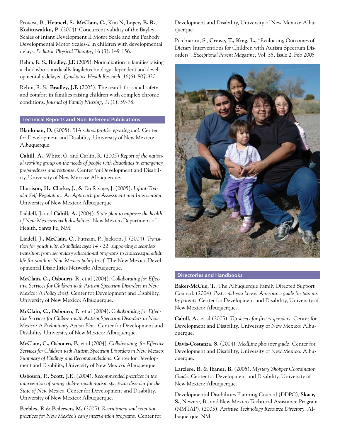Provost, B., **Heimerl, S.**, **McClain, C.**, Kim N, **Lopez, B. R.**, **Kodituwakku, P**, (2004). Concurrent validity of the Bayley Scales of Infant Development II Motor Scale and the Peabody Developmental Motor Scales-2 in children with developmental delays. *Pediatric Physical Therapy*, 16 (3): 149-156.

Rehm, R. S., **Bradley, J.F.** (2005). Normalization in families raising a child who is medically fragile/technology–dependent and developmentally delayed. *Qualitative Health Research, 16*(6), 807-820.

Rehm, R. S., **Bradley, J.F.** (2005). The search for social safety and comfort in families raising children with complex chronic conditions. *Journal of Family Nursing, 11*(1), 59-78.

## **Technical Reports and Non-Refereed Publications**

**Blankman, D.** (2005). *BIA school profile reporting tool.* Center for Development and Disability, University of New Mexico: Albuquerque.

**Cahill, A.**, White, G. and Carlin, R. (2005) *Report of the national working group on the needs of people with disabilities in emergency preparedness and response*. Center for Development and Disability, University of New Mexico: Albuquerque.

**Harrison, H.**, **Clarke, J.**, & Du Rivage, J. (2005). *Infant-Toddler Self-Regulation: An Approach for Assessment and Intervention*. University of New Mexico: Albuquerque

**Liddell, J.** and **Cahill, A.** (2004). *State plan to improve the health of New Mexicans with disabilities.* New Mexico Department of Health, Santa Fe, NM.

**Liddell, J., McClain, C.**, Putnam, P., Jackson, J. (2004). *Transition for youth with disabilities ages 14 - 22: supporting a seamless transition from secondary educational programs to a successful adult life for youth in New Mexico policy brief*. The New Mexico Developmental Disabilities Network: Albuquerque.

**McClain, C., Osbourn, P.**, et al (2004). *Collaborating for Effective Services for Children with Autism Spectrum Disorders in New Mexico: A Policy Brief*. Center for Development and Disability, University of New Mexico: Albuquerque.

**McClain, C., Osbourn, P.**, et al (2004). *Collaborating for Effective Services for Children with Autism Spectrum Disorders in New Mexico: A Preliminary Action Plan.* Center for Development and Disability, University of New Mexico: Albuquerque.

**McClain, C., Osbourn, P.**, et al (2004). *Collaborating for Effective Services for Children with Autism Spectrum Disorders in New Mexico: Summary of Findings and Recommendations.* Center for Development and Disability, University of New Mexico: Albuquerque.

**Osbourn, P., Scott, J.F.**, (2004). *Recommended practices in the intervention of young children with autism spectrum disorder for the State of New Mexico*. Center for Development and Disability, University of New Mexico: Albuquerque.

**Peebles, P.** & **Pedersen, M.** (2005). *Recruitment and retention practices for New Mexico's early intervention programs.* Center for Development and Disability, University of New Mexico: Albuquerque.

Picchiarini, S., **Crowe, T., King, L.,** "Evaluating Outcomes of Dietary Interventions for Children with Autism Spectrum Disorders". *Exceptional Parent Magazine*, Vol. 35, Issue 2, Feb 2005



## **Directories and Handbooks**

**Baker-McCue, T.**, The Albuquerque Family Directed Support Council. (2004). *Psst...did you know! A resource guide for parents by parents*. Center for Development and Disability, University of New Mexico: Albuquerque.

**Cahill, A.**, et al (2005). *Tip sheets for first responders.* Center for Development and Disability, University of New Mexico: Albuquerque.

**Davis-Costanza, S.** (2004). *MedLine plus user guide.* Center for Development and Disability, University of New Mexico: Albuquerque.

**Larzlere, B.** & **Ibanez, B.** (2005). *Mystery Shopper Coordinator Guide.* Center for Development and Disability, University of New Mexico: Albuquerque.

Developmental Disabilities Planning Council (DDPC), **Skaar, S.**, Newroe, B., and New Mexico Technical Assistance Program (NMTAP). (2005). *Assistive Technology Resource Directory.* Albuquerque, NM.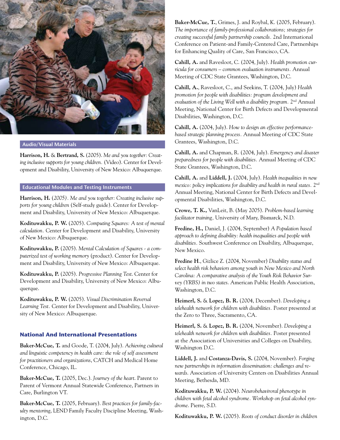

#### **Audio/Visual Materials**

**Harrison, H.** & **Bertrand, S.** (2005). *Me and you together: Creating inclusive supports for young children.* (Video). Center for Development and Disability, University of New Mexico: Albuquerque.

#### **Educational Modules and Testing Instruments**

**Harrison, H.** (*2005). Me and you together: Creating inclusive supports for young children* (Self-study guide). Center for Development and Disability, University of New Mexico: Albuquerque.

**Kodituwakku, P. W.** (2005). *Computing Squares: A test of mental calculation.* Center for Development and Disability, University of New Mexico: Albuquerque.

**Kodituwakku, P.** (2005). *Mental Calculation of Squares - a computerized test of working memory* (product). Center for Development and Disability, University of New Mexico: Albuquerque.

**Kodituwakku, P.** (2005). *Progressive Planning Test*. Center for Development and Disability, University of New Mexico: Albuquerque.

**Kodituwakku, P. W.** (2005). *Visual Discrimination Reversal Learning Test.* Center for Development and Disability, University of New Mexico: Albuquerque.

## **National And International Presentations**

**Baker-McCue, T.** and Goode, T. (2004, July). *Achieving cultural and linguistic competency in health care: the role of self assessment for practitioners and organizations*, CATCH and Medical Home Conference, Chicago, IL.

**Baker-McCue, T.** (2005, Dec.). *Journey of the heart*. Parent to Parent of Vermont Annual Statewide Conference, Partners in Care, Burlington VT.

**Baker-McCue, T.** (2005, February). *Best practices for family-faculty mentoring*, LEND Family Faculty Discipline Meeting, Washington, D.C.

**Baker-McCue, T.**, Grimes, J. and Roybal, K. (2005, February). *The importance of family-professional collaborations; strategies for creating successful family partnership councils.* 2nd International Conference on Patient-and Family-Centered Care, Partnerships for Enhancing Quality of Care, San Francisco, CA.

**Cahill, A.** and Ravesloot, C. (2004, July). *Health promotion curricula for consumers – common evaluation instruments.* Annual Meeting of CDC State Grantees, Washington, D.C.

**Cahill, A.**, Ravesloot, C., and Seekins, T. (2004, July) *Health promotion for people with disabilities: program development and*  evaluation of the Living Well with a disability program. 2<sup>nd</sup> Annual Meeting, National Center for Birth Defects and Developmental Disabilities, Washington, D.C.

**Cahill, A.** (2004, July). *How to design an effective performancebased strategic planning process.* Annual Meeting of CDC State Grantees, Washington, D.C.

**Cahill, A.** and Chapman, R. (2004, July). *Emergency and disaster preparedness for people with disabilities.* Annual Meeting of CDC State Grantees, Washington, D.C.

**Cahill, A.** and **Liddell, J.** (2004, July). *Health inequalities in new mexico: policy implications for disability and health in rural states.* 2<sup>nd</sup> Annual Meeting, National Center for Birth Defects and Developmental Disabilities, Washington, D.C.

**Crowe, T. K.,** VanLeit, B. (May 2005). *Problem-based learning facilitator training,* University of Mary, Bismarck, N.D.

**Fredine, H.,** Daniel, J. (2004, September) *A Population based approach to defining disability: health inequalities and people with disabilities.* Southwest Conference on Disability, Albuquerque, New Mexico.

**Fredine H**., Gizlice Z. (2004, November) *Disability status and select health risk behaviors among youth in New Mexico and North Carolina: A comparative analysis of the Youth Risk Behavior Survey (YRBS) in two states*. American Public Health Association, Washington, D.C.

**Heimerl, S.** & **Lopez, B. R.** (2004, December). *Developing a telehealth network for children with disabilities.* Poster presented at the Zero to Three, Sacramento, CA.

**Heimerl, S.** & **Lopez, B. R.** (2004, November). *Developing a telehealth network for children with disabilities.* Poster presented at the Association of Universities and Colleges on Disability, Washington D.C.

**Liddell, J.** and **Costanza-Davis, S.** (2004, November). *Forging new partnerships in information dissemination: challenges and rewards*. Association of University Centers on Disabilities Annual Meeting, Bethesda, MD.

**Kodituwakku, P. W.** (2004). *Neurobehaviroral phenotype in children with fetal alcohol syndrome. Workshop on fetal alcohol syndrome*. Pierre, S.D.

**Kodituwakku, P. W.** (2005). *Roots of conduct disorder in children*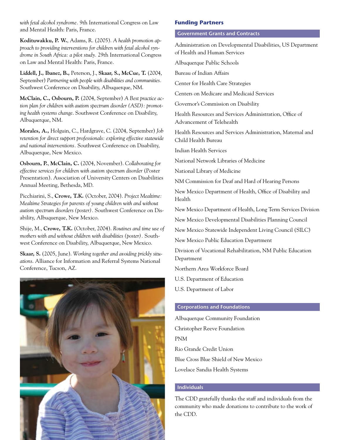*with fetal alcohol syndrome.* 9th International Congress on Law and Mental Health: Paris, France.

**Kodituwakku, P. W.**, Adams, R. (2005). *A health promotion approach to providing interventions for children with fetal alcohol syndrome in South Africa: a pilot study.* 29th International Congress on Law and Mental Health: Paris, France.

**Liddell, J., Ibanez, B.,** Peterson, J., **Skaar, S., McCue, T.** (2004, September) *Partnering with people with disabilities and communities.*  Southwest Conference on Disability, Albuquerque, NM.

**McClain, C., Osbourn, P.** (2004, September) *A Best practice action plan for children with autism spectrum disorder (ASD): promoting health systems change*. Southwest Conference on Disability, Albuquerque, NM.

**Morales, A.,** Holguin, C., Hardgrave, C. (2004, September) *Job retention for direct support professionals: exploring effective statewide and national interventions.* Southwest Conference on Disability, Albuquerque, New Mexico.

**Osbourn, P.**, **McClain, C.** (2004, November). *Collaborating for effective services for children with autism spectrum disorder* (Poster Presentation). Association of University Centers on Disabilities Annual Meeting, Bethesda, MD.

Picchiarini, S., **Crowe, T.K.** (October, 2004). *Project Mealtime: Mealtime Strategies for parents of young children with and without autism spectrum disorders (poster).* Southwest Conference on Disability, Albuquerque, New Mexico.

Shije, M., **Crowe, T.K.** (October, 2004). *Routines and time use of mothers with and without children with disabilities (poster).* Southwest Conference on Disability, Albuquerque, New Mexico.

**Skaar, S.** (2005, June). *Working together and avoiding prickly situations*. Alliance for Information and Referral Systems National Conference, Tucson, AZ.



#### **Funding Partners**

## **Government Grants and Contracts**

Administration on Developmental Disabilities, US Department of Health and Human Services

Albuquerque Public Schools

Bureau of Indian Affairs

Center for Health Care Strategies

Centers on Medicare and Medicaid Services

Governor's Commission on Disability

Health Resources and Services Administration, Office of Advancement of Telehealth

Health Resources and Services Administration, Maternal and Child Health Bureau

Indian Health Services

National Network Libraries of Medicine

National Library of Medicine

NM Commission for Deaf and Hard of Hearing Persons

New Mexico Department of Health, Office of Disability and Health

New Mexico Department of Health, Long Term Services Division

New Mexico Developmental Disabilities Planning Council

New Mexico Statewide Independent Living Council (SILC)

New Mexico Public Education Department

Division of Vocational Rehabilitation, NM Public Education Department

Northern Area Workforce Board

U.S. Department of Education

U.S. Department of Labor

#### **Corporations and Foundations**

Albuquerque Community Foundation Christopher Reeve Foundation PNM Rio Grande Credit Union Blue Cross Blue Shield of New Mexico Lovelace Sandia Health Systems

## **Individuals**

The CDD gratefully thanks the staff and individuals from the community who made donations to contribute to the work of the CDD.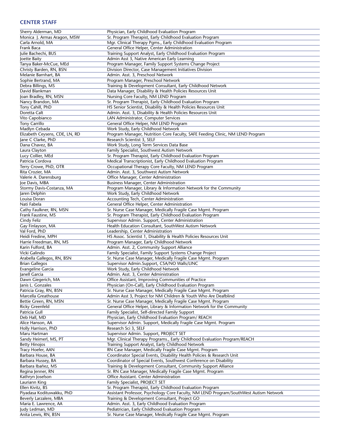## **Center Staff**

| Sherry Alderman, MD            | Physician, Early Childhood Evaluation Program                                                  |
|--------------------------------|------------------------------------------------------------------------------------------------|
| Monica J. Armas Aragon, MSW    | Sr. Program Therapist, Early Childhood Evaluation Program                                      |
| Carla Arnold, MA               | Mgr. Clinical Therapy Pgms., Early Childhood Evaluation Program                                |
| Frank Baca                     | General Office Helper, Center Administration                                                   |
| Julie Bachechi, BUS            | Training Support Analyst, Early Childhood Evaluation Program                                   |
| Joette Baity                   | Admin Asst 3, Native American Early Learning                                                   |
| Tanya Baker-McCue, MEd         | Program Manager, Family Support Systems Change Project                                         |
| Christy Barden, RN, BSN        | Division Director, Case Management Initiatives Division                                        |
| Melanie Barnhart, BA           | Admin. Asst. 3, Preschool Network                                                              |
| Sophie Bertrand, MA            | Program Manager, Preschool Network                                                             |
| Debra Billings, MS             | Training & Development Consultant, Early Childhood Network                                     |
| David Blankman                 |                                                                                                |
|                                | Data Manager, Disability & Health Policies Resources Unit                                      |
| Joan Bradley, RN, MSN          | Nursing Core Faculty, NM LEND Program                                                          |
| Nancy Brandon, MA              | Sr. Program Therapist, Early Childhood Evaluation Program                                      |
| Tony Cahill, PhD               | HS Senior Scientist, Disability & Health Policies Resources Unit                               |
| Doretta Calt                   | Admin. Asst. 3, Disability & Health Policies Resources Unit                                    |
| Vito Capobianco                | LAN Administrator, Computer Services                                                           |
| <b>Tony Carrillo</b>           | General Office Helper, NM LEND Program                                                         |
| Madlyn Cebada                  | Work Study, Early Childhood Network                                                            |
| Elizabeth Ceysens, CDE, LN, RD | Program Manager, Nutrition Core Faculty, SAFE Feeding Clinic, NM LEND Program                  |
| Jane C Clarke, PhD             | Research Scientist 3, SELF                                                                     |
| Dana Chavez, BA                | Work Study, Long Term Services Data Base                                                       |
| Laura Clayton                  | Family Specialist, Southwest Autism Network                                                    |
| Lucy Collier, MEd              | Sr. Program Therapist, Early Childhood Evaluation Program                                      |
| Patricia Cordova               | Medical Transcriptionist, Early Childhood Evaluation Program                                   |
| Terry Crowe, PhD, OTR          |                                                                                                |
| Rita Crozier, MA               | Occupational Therapy Core Faculty, NM LEND Program<br>Admin. Asst. 3, Southwest Autism Network |
|                                |                                                                                                |
| Valerie A. Darensburg          | Office Manager, Center Administration                                                          |
| Joe Davis, MBA                 | <b>Business Manager, Center Administration</b>                                                 |
| Stormy Davis-Costanza, MA      | Program Manager, Library & Information Network for the Community                               |
| Jaren Delphin                  | Work Study, Early Childhood Network                                                            |
| Louisa Doran                   | Accounting Tech, Center Administration                                                         |
| Nati Fabela                    | General Office Helper, Center Administration                                                   |
| Cathy Faulkner, RN, MSN        | Sr. Nurse Case Manager, Medically Fragile Case Mgmt. Program                                   |
| Frank Faustine, MS             | Sr. Program Therapist, Early Childhood Evaluation Program                                      |
| Cindy Feliz                    | Supervisor Admin. Support, Center Administration                                               |
| Gay Finlayson, MA              | Health Education Consultant, SouthWest Autism Network                                          |
| Val Ford, PhD                  | Leadership, Center Administration                                                              |
| Heidi Fredine, MPH             | HS Assoc. Scientist 1, Disability & Health Policies Resources Unit                             |
| Harrie Freedman, RN, MS        | Program Manager, Early Childhood Network                                                       |
| Karin Fulford, BA              | Admin. Asst. 2, Community Support Alliance                                                     |
| Vicki Galindo                  | Family Specialist, Family Support Systems Change Project                                       |
| Arabella Gallegos, RN, BSN     | Sr. Nurse Case Manager, Medically Fragile Case Mgmt. Program                                   |
| <b>Brian Gallegos</b>          | Supervisor Admin.Support, CSA/NO Walls/LINC                                                    |
|                                | Work Study, Early Childhood Network                                                            |
| Evangeline Garcia              |                                                                                                |
| Janell Garcia                  | Admin. Asst. 3, Center Administration                                                          |
| Dawn Giegerich, MA             | Office Assistant, Improving Communities of Practice                                            |
| Janis L. Gonzales              | Physician (On-Call), Early Childhood Evaluation Program                                        |
| Patricia Gray, RN, BSN         | Sr. Nurse Case Manager, Medically Fragile Case Mgmt. Program                                   |
| Marcella Greathouse            | Admin Asst 3, Project for NM Children & Youth Who Are Deafblind                                |
| Bettie Green, RN, MSN          | Sr. Nurse Case Manager, Medically Fragile Case Mgmt. Program                                   |
| <b>Ricky Greenfeld</b>         | General Office Helper, Library & Information Network for the Community                         |
| Patricia Gull                  | Family Specialist, Self-directed Family Support                                                |
| Deb Hall, MD                   | Physician, Early Childhood Evaluation Program/ REACH                                           |
| Alice Hanson, AA               | Supervisor Admin. Support, Medically Fragile Case Mgmt. Program                                |
| Holly Harrison, PhD            | Research Sci 3, SELF                                                                           |
| Maru Hartman                   | Supervisor Admin. Support, PROJECT SET                                                         |
| Sandy Heimerl, MS, PT          | Mgr. Clinical Therapy Programs., Early Childhood Evaluation Program/REACH                      |
| <b>Betty Hinojos</b>           | Training Support Analyst, Early Childhood Network                                              |
| Tracy Hoefer, AAN              | RN Case Manager, Medically Fragile Case Mgmt. Program                                          |
| Barbara House, BA              | Coordinator Special Events, Disability Health Policies & Research Unit                         |
|                                |                                                                                                |
| Barbara Hussey, BA             | Coordinator of Special Events, Southwest Conference on Disability                              |
| Barbara Ibañez, MS             | Training & Development Consultant, Community Support Alliance                                  |
| Regina Jenner, RN              | Sr. RN Case Manager, Medically Fragile Case Mgmt. Program                                      |
| Kathryn Josefson               | Office Assistant. Center Administration                                                        |
| Lauriann King                  | Family Specialist, PROJECT SET                                                                 |
| Ellen Kivitz, BS               | Sr. Program Therapist, Early Childhood Evaluation Program                                      |
| Piyadasa Kodituwakku, PhD      | Assistant Professor, Psychology Core Faculty, NM LEND Program/SouthWest Autism Network         |
| Beverly Larzalere, MBA         | Training & Development Consultant, Project GO                                                  |
| Maria E. Lawrence, AA          | Admin. Asst. 3, Early Childhood Evaluation Program                                             |
| Judy Ledman, MD                | Pediatrician, Early Childhood Evaluation Program                                               |
| Anita Lewis, RN, BSN           | Sr. Nurse Case Manager, Medically Fragile Case Mgmt. Program                                   |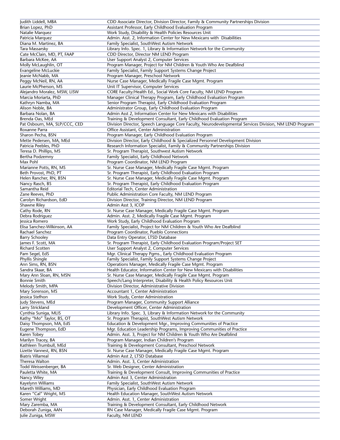| Judith Liddell, MBA           | CDD Associate Director, Division Director, Family & Community Partnerships Division                    |
|-------------------------------|--------------------------------------------------------------------------------------------------------|
| Brian Lopez, PhD              | Assistant Professor, Early Childhood Evaluation Program                                                |
| Natalie Marquez               | Work Study, Disability & Health Policies Resources Unit                                                |
| Patricia Marquez              | Admin. Asst. 2, Information Center for New Mexicans with Disabilities                                  |
| Diana M. Martinez, BA         | Family Specialist, SouthWest Autism Network                                                            |
| Tara Massarsky                | Library Info. Spec. 1, Library & Information Network for the Community                                 |
| Cate McClain, MD, PT, FAAP    | CDD Director, Director NM LEND Program                                                                 |
|                               |                                                                                                        |
| Barbara McKee, AA             | User Support Analyst 2, Computer Services                                                              |
| Molly McLaughlin, OT          | Program Manager, Project for NM Children & Youth Who Are Deafblind                                     |
| Evangeline McLuckie           | Family Specialist, Family Support Systems Change Project                                               |
| Jeanie McNabb, MA             | Program Manager, Preschool Network                                                                     |
| Peggy McNeil, RN, AA          | Nurse Case Manager, Medically Fragile Case Mgmt. Program                                               |
| Laurie McPherson, MS          | Unit IT Supervisor, Computer Services                                                                  |
| Alejandro Moralez, MSW, LISW  | CORE Faculty/Health Ed., Social Work Core Faculty, NM LEND Program                                     |
| Marcia Moriarta, PhD          | Manager Clinical Therapy Program, Early Childhood Evaluation Program                                   |
| Kathryn Namba, MA             | Senior Program Therapist, Early Childhood Evaluation Program                                           |
| Alison Noble, BA              | Administrator Group, Early Childhood Evaluation Program                                                |
|                               |                                                                                                        |
| Barbara Nolan, BA             | Admin Asst 2, Information Center for New Mexicans with Disabilities                                    |
| Brenda Oas, MEd               | Training & Development Consultant, Early Childhood Evaluation Program                                  |
| Pat Osbourn, MA, SLP/CCC, CED | Division Director, Speech Language Core Faculty, Neurodevelopmental Services Division, NM LEND Program |
| Roxanne Parra                 | Office Assistant, Center Administration                                                                |
| Sharon Pecha, BSN             | Program Manager, Early Childhood Evaluation Program                                                    |
| Mette Pedersen, MA, MEd       | Division Director, Early Childhood & Specialized Personnel Development Division                        |
| Patricia Peebles, PhD         | Research Information Specialist, Family & Community Partnerships Division                              |
| Teresa D. Phillips, MS        | Sr. Program Therapist, Southwest Autism Network                                                        |
| Bertha Podzemny               | Family Specialist, Early Childhood Network                                                             |
| Max Pohl                      | Program Coordinator, NM LEND Program                                                                   |
|                               |                                                                                                        |
| Marianne Potts, RN, MS        | Sr. Nurse Case Manager, Medically Fragile Case Mgmt. Program                                           |
| Beth Provost, PhD, PT         | Sr. Program Therapist, Early Childhood Evaluation Program                                              |
| Helen Rancher, RN, BSN        | Sr. Nurse Case Manager, Medically Fragile Case Mgmt. Program                                           |
| Nancy Rasch, BS               | Sr. Program Therapist, Early Childhood Evaluation Program                                              |
| Samantha Reid                 | Editorial Tech, Center Administration                                                                  |
| Zane Reeves, PhD              | Public Administration Core Faculty, NM LEND Program                                                    |
| Carolyn Richardson, EdD       | Division Director, Training Director, NM LEND Program                                                  |
| Shawne Riley                  | Admin Asst 3, ICOP                                                                                     |
| Cathy Rode, RN                | Sr. Nurse Case Manager, Medically Fragile Case Mgmt. Program                                           |
|                               |                                                                                                        |
| Debra Rodriguez               | Admin. Asst. 2, Medically Fragile Case Mgmt. Program                                                   |
| Jessica Romero                | Work Study, Early Childhood Evaluation Program                                                         |
| Elisa Sanchez-Wilkinson, AA   | Family Specialist, Project for NM Children & Youth Who Are Deafblind                                   |
| Rachael Sanchez               | Program Coordinator, Pueblo Connections                                                                |
| <b>Barry Schooley</b>         | Data Entry Operator, LTSD Database                                                                     |
| James F. Scott, MA            | Sr. Program Therapist, Early Childhood Evaluation Program/Project SET                                  |
| Richard Scotten               | User Support Analyst 2, Computer Services                                                              |
| Pam Segel, EdS                | Mgr. Clinical Therapy Pgms., Early Childhood Evaluation Program                                        |
| Phyllis Shingle               | Family Specialist, Family Support Systems Change Project                                               |
| Ann Sims, RN, BSN             | Operations Manager, Medically Fragile Case Mgmt. Program                                               |
|                               |                                                                                                        |
| Sandra Skaar, BA              | Health Educator, Information Center for New Mexicans with Disabilities                                 |
| Mary Ann Sloan, RN, MSN       | Sr. Nurse Case Manager, Medically Fragile Case Mgmt. Program                                           |
| <b>Bonnie Smith</b>           | Speech/Lang Interpreter, Disability & Health Policy Resources Unit                                     |
| Melody Smith, MPA             | Division Director, Administrative Division                                                             |
| Mary Sorenson, MS             | Accountant 1, Center Administration                                                                    |
| Jessica Stefhon               | Work Study, Center Administration                                                                      |
| Judy Stevens, MEd             | Program Manager, Community Support Alliance                                                            |
| Larry Strickland              | Development Officer, Center Administration                                                             |
| Cynthia Suniga, MLIS          | Library Info. Spec. 3, Library & Information Network for the Community                                 |
| Kathy "Mo" Taylor, BS, OT     | Sr. Program Therapist, SouthWest Autism Network                                                        |
| Daisy Thompson, MA, EdS       | Education & Development Mgr., Improving Communities of Practice                                        |
|                               |                                                                                                        |
| Eugene Thompson, EdD          | Mgr. Education Leadership Programs, Improving Communities of Practice                                  |
| Karen Tobey                   | Admin. Asst. 3, Project for NM Children & Youth Who Are Deafblind                                      |
| Marilyn Tracey, BA            | Program Manager, Indian Children's Program                                                             |
| Kathleen Trumbull, MEd        | Training & Development Consultant, Preschool Network                                                   |
| Lizette Vannest, RN, BSN      | Sr. Nurse Case Manager, Medically Fragile Case Mgmt. Program                                           |
| <b>Biatris Villarreal</b>     | Admin Asst 2, LTSD Database                                                                            |
| Theresa Walton                | Admin. Asst. 3, Center Administration                                                                  |
| Todd Weissenberger, BA        | Sr. Web Designer, Center Administration                                                                |
| Pauletta White, MA            | Training & Development Consult, Improving Communities of Practice                                      |
|                               | Admin Asst 3, Center Administration                                                                    |
| Nancy Wiley                   |                                                                                                        |
| Kayelynn Williams             | Family Specialist, SouthWest Autism Network                                                            |
| Mareth Williams, MD           | Physician, Early Childhood Evaluation Program                                                          |
| Karen "Cal" Wright, MS        | Health Education Manager, SouthWest Autism Network                                                     |
| Somer Wright                  | Admin. Asst. 1, Center Administration                                                                  |
| Mary Zaremba, MA              | Training & Development Consultant, Early Childhood Network                                             |
| Deborah Zuniga, AAN           | RN Case Manager, Medically Fragile Case Mgmt. Program                                                  |
|                               |                                                                                                        |